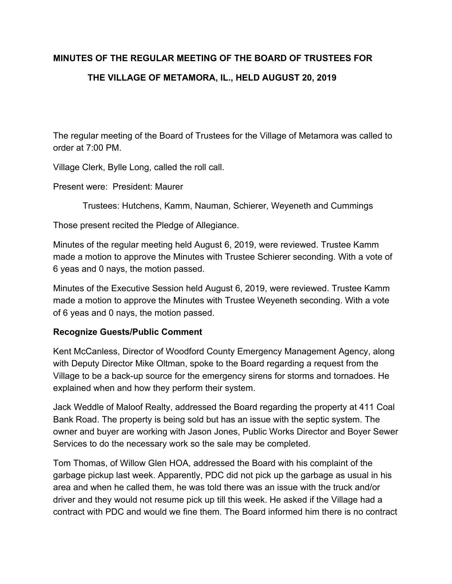# **MINUTES OF THE REGULAR MEETING OF THE BOARD OF TRUSTEES FOR THE VILLAGE OF METAMORA, IL., HELD AUGUST 20, 2019**

The regular meeting of the Board of Trustees for the Village of Metamora was called to order at 7:00 PM.

Village Clerk, Bylle Long, called the roll call.

Present were: President: Maurer

Trustees: Hutchens, Kamm, Nauman, Schierer, Weyeneth and Cummings

Those present recited the Pledge of Allegiance.

Minutes of the regular meeting held August 6, 2019, were reviewed. Trustee Kamm made a motion to approve the Minutes with Trustee Schierer seconding. With a vote of 6 yeas and 0 nays, the motion passed.

Minutes of the Executive Session held August 6, 2019, were reviewed. Trustee Kamm made a motion to approve the Minutes with Trustee Weyeneth seconding. With a vote of 6 yeas and 0 nays, the motion passed.

# **Recognize Guests/Public Comment**

Kent McCanless, Director of Woodford County Emergency Management Agency, along with Deputy Director Mike Oltman, spoke to the Board regarding a request from the Village to be a back-up source for the emergency sirens for storms and tornadoes. He explained when and how they perform their system.

Jack Weddle of Maloof Realty, addressed the Board regarding the property at 411 Coal Bank Road. The property is being sold but has an issue with the septic system. The owner and buyer are working with Jason Jones, Public Works Director and Boyer Sewer Services to do the necessary work so the sale may be completed.

Tom Thomas, of Willow Glen HOA, addressed the Board with his complaint of the garbage pickup last week. Apparently, PDC did not pick up the garbage as usual in his area and when he called them, he was told there was an issue with the truck and/or driver and they would not resume pick up till this week. He asked if the Village had a contract with PDC and would we fine them. The Board informed him there is no contract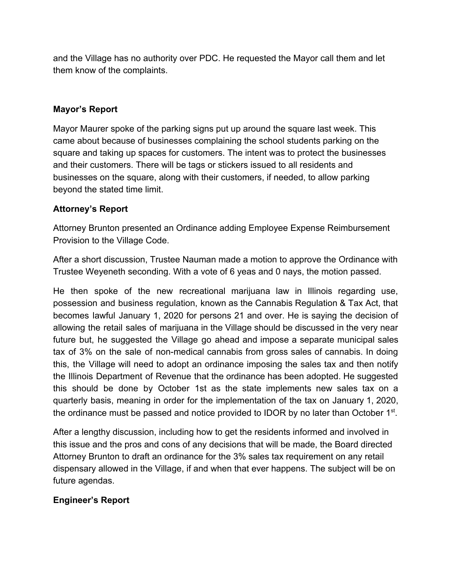and the Village has no authority over PDC. He requested the Mayor call them and let them know of the complaints.

# **Mayor's Report**

Mayor Maurer spoke of the parking signs put up around the square last week. This came about because of businesses complaining the school students parking on the square and taking up spaces for customers. The intent was to protect the businesses and their customers. There will be tags or stickers issued to all residents and businesses on the square, along with their customers, if needed, to allow parking beyond the stated time limit.

# **Attorney's Report**

Attorney Brunton presented an Ordinance adding Employee Expense Reimbursement Provision to the Village Code.

After a short discussion, Trustee Nauman made a motion to approve the Ordinance with Trustee Weyeneth seconding. With a vote of 6 yeas and 0 nays, the motion passed.

He then spoke of the new recreational marijuana law in Illinois regarding use, possession and business regulation, known as the Cannabis Regulation & Tax Act, that becomes lawful January 1, 2020 for persons 21 and over. He is saying the decision of allowing the retail sales of marijuana in the Village should be discussed in the very near future but, he suggested the Village go ahead and impose a separate municipal sales tax of 3% on the sale of non-medical cannabis from gross sales of cannabis. In doing this, the Village will need to adopt an ordinance imposing the sales tax and then notify the Illinois Department of Revenue that the ordinance has been adopted. He suggested this should be done by October 1st as the state implements new sales tax on a quarterly basis, meaning in order for the implementation of the tax on January 1, 2020, the ordinance must be passed and notice provided to IDOR by no later than October  $1<sup>st</sup>$ .

After a lengthy discussion, including how to get the residents informed and involved in this issue and the pros and cons of any decisions that will be made, the Board directed Attorney Brunton to draft an ordinance for the 3% sales tax requirement on any retail dispensary allowed in the Village, if and when that ever happens. The subject will be on future agendas.

# **Engineer's Report**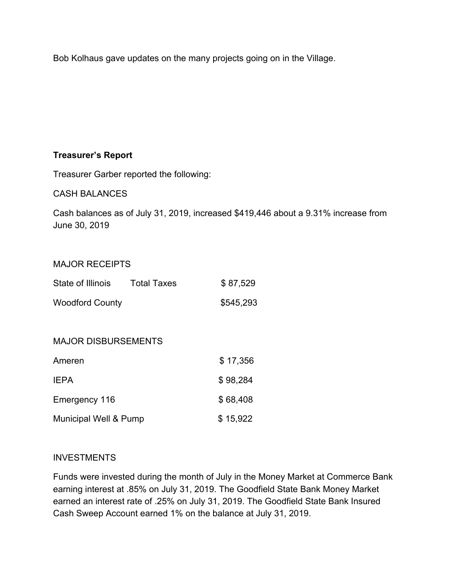Bob Kolhaus gave updates on the many projects going on in the Village.

# **Treasurer's Report**

Treasurer Garber reported the following:

CASH BALANCES

Cash balances as of July 31, 2019, increased \$419,446 about a 9.31% increase from June 30, 2019

#### MAJOR RECEIPTS

| State of Illinois      | <b>Total Taxes</b> | \$87,529  |
|------------------------|--------------------|-----------|
| <b>Woodford County</b> |                    | \$545,293 |

#### MAJOR DISBURSEMENTS

| Ameren                | \$17,356 |
|-----------------------|----------|
| <b>IEPA</b>           | \$98,284 |
| Emergency 116         | \$68,408 |
| Municipal Well & Pump | \$15,922 |

#### INVESTMENTS

Funds were invested during the month of July in the Money Market at Commerce Bank earning interest at .85% on July 31, 2019. The Goodfield State Bank Money Market earned an interest rate of .25% on July 31, 2019. The Goodfield State Bank Insured Cash Sweep Account earned 1% on the balance at July 31, 2019.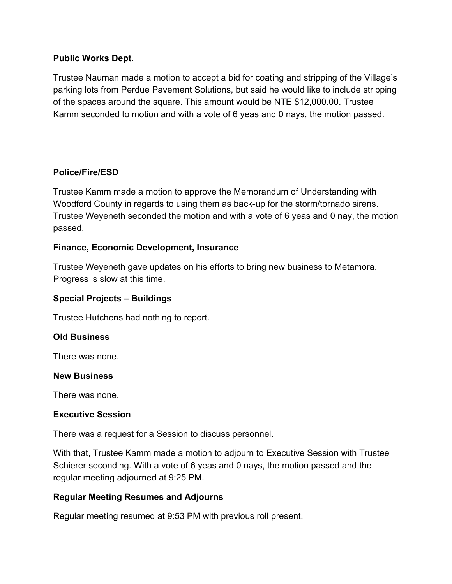#### **Public Works Dept.**

Trustee Nauman made a motion to accept a bid for coating and stripping of the Village's parking lots from Perdue Pavement Solutions, but said he would like to include stripping of the spaces around the square. This amount would be NTE \$12,000.00. Trustee Kamm seconded to motion and with a vote of 6 yeas and 0 nays, the motion passed.

# **Police/Fire/ESD**

Trustee Kamm made a motion to approve the Memorandum of Understanding with Woodford County in regards to using them as back-up for the storm/tornado sirens. Trustee Weyeneth seconded the motion and with a vote of 6 yeas and 0 nay, the motion passed.

#### **Finance, Economic Development, Insurance**

Trustee Weyeneth gave updates on his efforts to bring new business to Metamora. Progress is slow at this time.

# **Special Projects – Buildings**

Trustee Hutchens had nothing to report.

# **Old Business**

There was none.

#### **New Business**

There was none.

#### **Executive Session**

There was a request for a Session to discuss personnel.

With that, Trustee Kamm made a motion to adjourn to Executive Session with Trustee Schierer seconding. With a vote of 6 yeas and 0 nays, the motion passed and the regular meeting adjourned at 9:25 PM.

#### **Regular Meeting Resumes and Adjourns**

Regular meeting resumed at 9:53 PM with previous roll present.